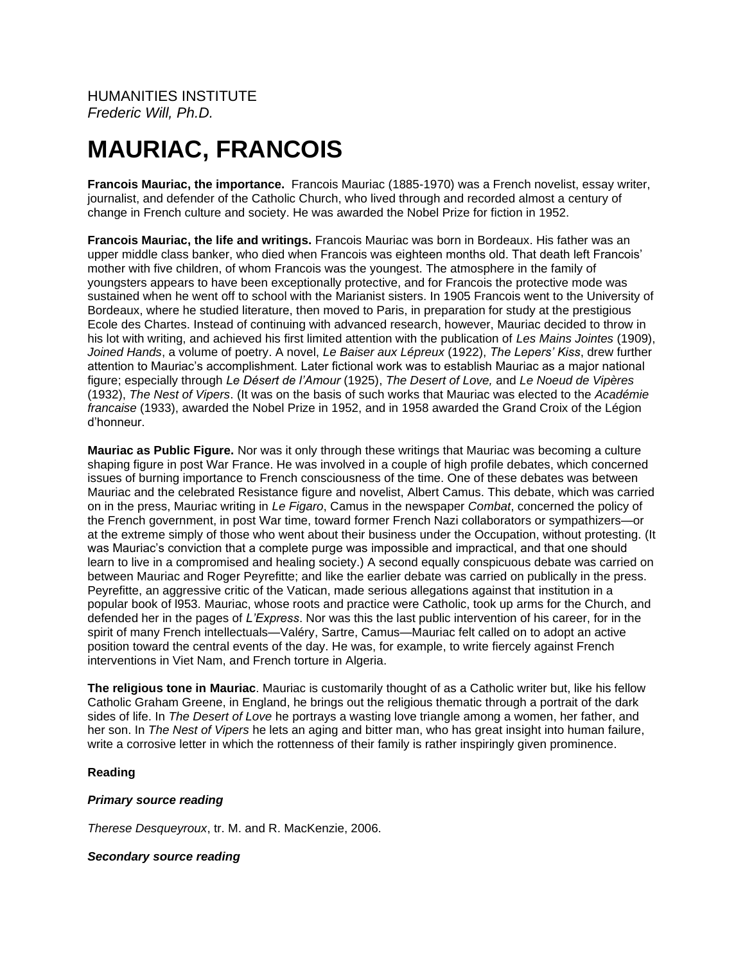# **MAURIAC, FRANCOIS**

**Francois Mauriac, the importance.** Francois Mauriac (1885-1970) was a French novelist, essay writer, journalist, and defender of the Catholic Church, who lived through and recorded almost a century of change in French culture and society. He was awarded the Nobel Prize for fiction in 1952.

**Francois Mauriac, the life and writings.** Francois Mauriac was born in Bordeaux. His father was an upper middle class banker, who died when Francois was eighteen months old. That death left Francois' mother with five children, of whom Francois was the youngest. The atmosphere in the family of youngsters appears to have been exceptionally protective, and for Francois the protective mode was sustained when he went off to school with the Marianist sisters. In 1905 Francois went to the University of Bordeaux, where he studied literature, then moved to Paris, in preparation for study at the prestigious Ecole des Chartes. Instead of continuing with advanced research, however, Mauriac decided to throw in his lot with writing, and achieved his first limited attention with the publication of *Les Mains Jointes* (1909), *Joined Hands*, a volume of poetry. A novel, *Le Baiser aux Lépreux* (1922), *The Lepers' Kiss*, drew further attention to Mauriac's accomplishment. Later fictional work was to establish Mauriac as a major national figure; especially through *Le Désert de l'Amour* (1925), *The Desert of Love,* and *Le Noeud de Vipères* (1932), *The Nest of Vipers*. (It was on the basis of such works that Mauriac was elected to the *Académie francaise* (1933), awarded the Nobel Prize in 1952, and in 1958 awarded the Grand Croix of the Légion d'honneur.

**Mauriac as Public Figure.** Nor was it only through these writings that Mauriac was becoming a culture shaping figure in post War France. He was involved in a couple of high profile debates, which concerned issues of burning importance to French consciousness of the time. One of these debates was between Mauriac and the celebrated Resistance figure and novelist, Albert Camus. This debate, which was carried on in the press, Mauriac writing in *Le Figaro*, Camus in the newspaper *Combat*, concerned the policy of the French government, in post War time, toward former French Nazi collaborators or sympathizers—or at the extreme simply of those who went about their business under the Occupation, without protesting. (It was Mauriac's conviction that a complete purge was impossible and impractical, and that one should learn to live in a compromised and healing society.) A second equally conspicuous debate was carried on between Mauriac and Roger Peyrefitte; and like the earlier debate was carried on publically in the press. Peyrefitte, an aggressive critic of the Vatican, made serious allegations against that institution in a popular book of l953. Mauriac, whose roots and practice were Catholic, took up arms for the Church, and defended her in the pages of *L'Express*. Nor was this the last public intervention of his career, for in the spirit of many French intellectuals—Valéry, Sartre, Camus—Mauriac felt called on to adopt an active position toward the central events of the day. He was, for example, to write fiercely against French interventions in Viet Nam, and French torture in Algeria.

**The religious tone in Mauriac**. Mauriac is customarily thought of as a Catholic writer but, like his fellow Catholic Graham Greene, in England, he brings out the religious thematic through a portrait of the dark sides of life. In *The Desert of Love* he portrays a wasting love triangle among a women, her father, and her son. In *The Nest of Vipers* he lets an aging and bitter man, who has great insight into human failure, write a corrosive letter in which the rottenness of their family is rather inspiringly given prominence.

# **Reading**

# *Primary source reading*

*Therese Desqueyroux*, tr. M. and R. MacKenzie, 2006.

# *Secondary source reading*